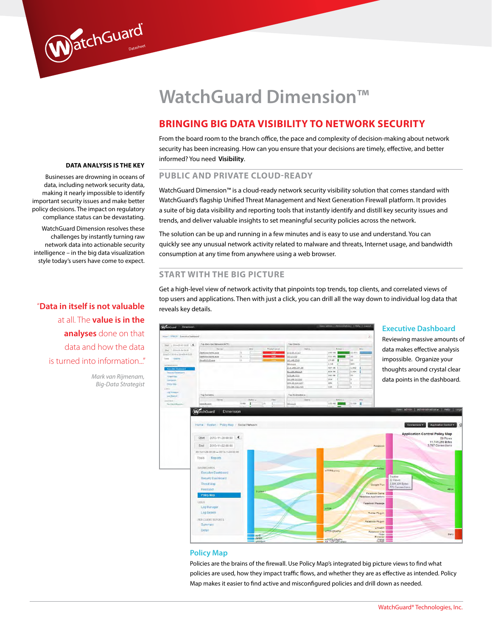# **WatchGuard Dimension™**

# **bringing big data visibility to network security**

From the board room to the branch office, the pace and complexity of decision-making about network security has been increasing. How can you ensure that your decisions are timely, effective, and better informed? You need **Visibility**.

# **Public and private cloud-ready**

WatchGuard Dimension™ is a cloud-ready network security visibility solution that comes standard with WatchGuard's flagship Unified Threat Management and Next Generation Firewall platform. It provides a suite of big data visibility and reporting tools that instantly identify and distill key security issues and trends, and deliver valuable insights to set meaningful security policies across the network.

The solution can be up and running in a few minutes and is easy to use and understand. You can quickly see any unusual network activity related to malware and threats, Internet usage, and bandwidth consumption at any time from anywhere using a web browser.

#### **Start with the big picture**

Get a high-level view of network activity that pinpoints top trends, top clients, and correlated views of top users and applications. Then with just a click, you can drill all the way down to individual log data that reveals key details.



#### **Policy Map**

Policies are the brains of the firewall. Use Policy Map's integrated big picture views to find what policies are used, how they impact traffic flows, and whether they are as effective as intended. Policy Map makes it easier to find active and misconfigured policies and drill down as needed.

#### **Data analysis is the key**

DatchGuard

Businesses are drowning in oceans of data, including network security data, making it nearly impossible to identify important security issues and make better policy decisions. The impact on regulatory compliance status can be devastating.

WatchGuard Dimension resolves these challenges by instantly turning raw network data into actionable security intelligence – in the big data visualization style today's users have come to expect.

"**Data in itself is not valuable**  at all. The **value is in the analyses** done on that data and how the data is turned into information..."

> *Mark van Rijmenam, Big-Data Strategist*